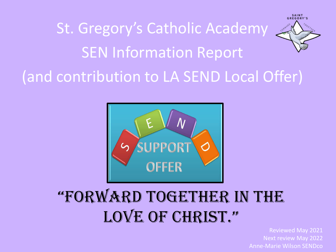



## "Forward TogeTher in The LOVE OF CHRIST."

Reviewed May 2021 Next review May 2022 Anne-Marie Wilson SENDco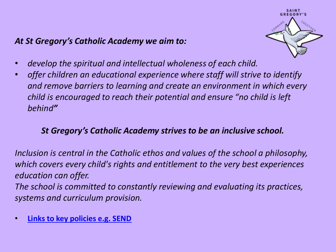#### *At St Gregory's Catholic Academy we aim to:*



- *develop the spiritual and intellectual wholeness of each child.*
- *offer children an educational experience where staff will strive to identify and remove barriers to learning and create an environment in which every child is encouraged to reach their potential and ensure "no child is left behind"*

### *St Gregory's Catholic Academy strives to be an inclusive school.*

*Inclusion is central in the Catholic ethos and values of the school a philosophy, which covers every child's rights and entitlement to the very best experiences education can offer.* 

*The school is committed to constantly reviewing and evaluating its practices, systems and curriculum provision.*

• **[Links to key policies e.g. SEND](https://stgregorys.bhcet.org.uk/information/policies/)**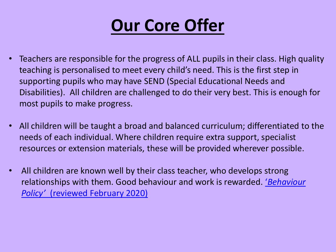

- Teachers are responsible for the progress of ALL pupils in their class. High quality teaching is personalised to meet every child's need. This is the first step in supporting pupils who may have SEND (Special Educational Needs and Disabilities). All children are challenged to do their very best. This is enough for most pupils to make progress.
- All children will be taught a broad and balanced curriculum; differentiated to the needs of each individual. Where children require extra support, specialist resources or extension materials, these will be provided wherever possible.
- All children are known well by their class teacher, who develops strong relationships with them. Good behaviour and work is rewarded. ['](https://xge.442.myftpupload.com/wp-content/uploads/2020/06/SG.pdf)*[Behaviour](https://xge.442.myftpupload.com/wp-content/uploads/2020/06/SG.pdf)  [Policy'](https://xge.442.myftpupload.com/wp-content/uploads/2020/06/SG.pdf)* [\(reviewed February 2020\)](https://xge.442.myftpupload.com/wp-content/uploads/2020/06/SG.pdf)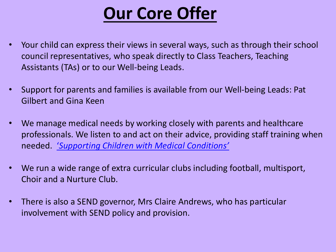## **Our Core Offer**

- Your child can express their views in several ways, such as through their school council representatives, who speak directly to Class Teachers, Teaching Assistants (TAs) or to our Well-being Leads.
- Support for parents and families is available from our Well-being Leads: Pat Gilbert and Gina Keen
- We manage medical needs by working closely with parents and healthcare professionals. We listen to and act on their advice, providing staff training when needed. ['](https://xge.442.myftpupload.com/wp-content/uploads/2020/05/Medical-Conditions-Policy-Anaphylaxis-Review-November-2020.pdf)*[Supporting Children with Medical Conditions'](https://xge.442.myftpupload.com/wp-content/uploads/2020/05/Medical-Conditions-Policy-Anaphylaxis-Review-November-2020.pdf)*
- We run a wide range of extra curricular clubs including football, multisport, Choir and a Nurture Club.
- There is also a SEND governor, Mrs Claire Andrews, who has particular involvement with SEND policy and provision.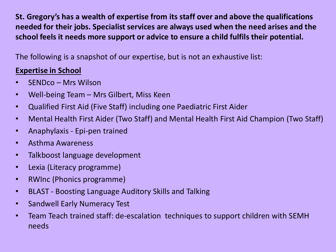**St. Gregory's has a wealth of expertise from its staff over and above the qualifications needed for their jobs. Specialist services are always used when the need arises and the school feels it needs more support or advice to ensure a child fulfils their potential.** 

The following is a snapshot of our expertise, but is not an exhaustive list:

#### **Expertise in School**

- SENDco Mrs Wilson
- Well-being Team Mrs Gilbert, Miss Keen
- Qualified First Aid (Five Staff) including one Paediatric First Aider
- Mental Health First Aider (Two Staff) and Mental Health First Aid Champion (Two Staff)
- Anaphylaxis Epi-pen trained
- Asthma Awareness
- Talkboost language development
- Lexia (Literacy programme)
- RWInc (Phonics programme)
- BLAST Boosting Language Auditory Skills and Talking
- Sandwell Early Numeracy Test
- Team Teach trained staff: de-escalation techniques to support children with SEMH needs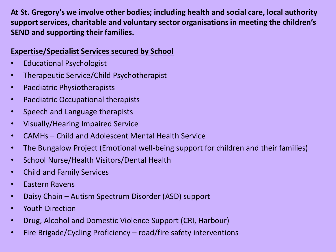**At St. Gregory's we involve other bodies; including health and social care, local authority support services, charitable and voluntary sector organisations in meeting the children's SEND and supporting their families.** 

#### **Expertise/Specialist Services secured by School**

- Educational Psychologist
- Therapeutic Service/Child Psychotherapist
- Paediatric Physiotherapists
- Paediatric Occupational therapists
- Speech and Language therapists
- Visually/Hearing Impaired Service
- CAMHs Child and Adolescent Mental Health Service
- The Bungalow Project (Emotional well-being support for children and their families)
- School Nurse/Health Visitors/Dental Health
- Child and Family Services
- Eastern Ravens
- Daisy Chain Autism Spectrum Disorder (ASD) support
- Youth Direction
- Drug, Alcohol and Domestic Violence Support (CRI, Harbour)
- Fire Brigade/Cycling Proficiency road/fire safety interventions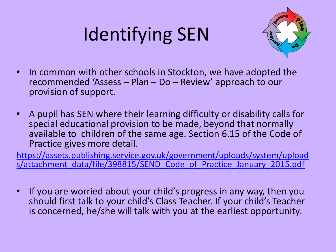# Identifying SEN



- In common with other schools in Stockton, we have adopted the recommended 'Assess – Plan – Do – Review' approach to our provision of support.
- A pupil has SEN where their learning difficulty or disability calls for special educational provision to be made, beyond that normally available to children of the same age. Section 6.15 of the Code of Practice gives more detail.

[https://assets.publishing.service.gov.uk/government/uploads/system/upload](https://assets.publishing.service.gov.uk/government/uploads/system/uploads/attachment_data/file/398815/SEND_Code_of_Practice_January_2015.pdf) [s/attachment\\_data/file/398815/SEND\\_Code\\_of\\_Practice\\_January\\_2015.pdf](https://assets.publishing.service.gov.uk/government/uploads/system/uploads/attachment_data/file/398815/SEND_Code_of_Practice_January_2015.pdf)

• If you are worried about your child's progress in any way, then you should first talk to your child's Class Teacher. If your child's Teacher is concerned, he/she will talk with you at the earliest opportunity.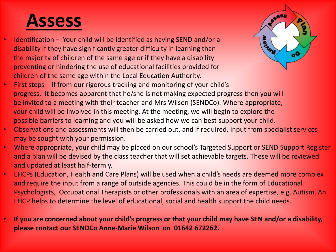## **Assess**

 • Identification – Your child will be identified as having SEND and/or a disability if they have significantly greater difficulty in learning than the majority of children of the same age or if they have a disability preventing or hindering the use of educational facilities provided for children of the same age within the Local Education Authority.



- First steps if from our rigorous tracking and monitoring of your child's progress, it becomes apparent that he/she is not making expected progress then you will be invited to a meeting with their teacher and Mrs Wilson (SENDCo). Where appropriate, your child will be involved in this meeting. At the meeting, we will begin to explore the possible barriers to learning and you will be asked how we can best support your child.
- Observations and assessments will then be carried out, and if required, input from specialist services may be sought with your permission.
- Where appropriate, your child may be placed on our school's Targeted Support or SEND Support Register and a plan will be devised by the class teacher that will set achievable targets. These will be reviewed and updated at least half-termly.
- EHCPs (Education, Health and Care Plans) will be used when a child's needs are deemed more complex and require the input from a range of outside agencies. This could be in the form of Educational Psychologists, Occupational Therapists or other professionals with an area of expertise, e.g. Autism. An EHCP helps to determine the level of educational, social and health support the child needs.
- **If you are concerned about your child's progress or that your child may have SEN and/or a disability, please contact our SENDCo Anne-Marie Wilson on 01642 672262.**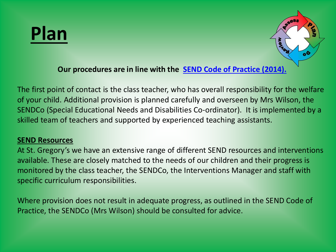## **Plan**



#### **Our procedures are in line with the [SEND Code of Practice \(2014\).](https://www.gov.uk/government/consultations/revision-of-the-send-code-of-practice-0-to-25-years)**

The first point of contact is the class teacher, who has overall responsibility for the welfare of your child. Additional provision is planned carefully and overseen by Mrs Wilson, the SENDCo (Special Educational Needs and Disabilities Co-ordinator). It is implemented by a skilled team of teachers and supported by experienced teaching assistants.

#### **SEND Resources**

At St. Gregory's we have an extensive range of different SEND resources and interventions available. These are closely matched to the needs of our children and their progress is monitored by the class teacher, the SENDCo, the Interventions Manager and staff with specific curriculum responsibilities.

Where provision does not result in adequate progress, as outlined in the SEND Code of Practice, the SENDCo (Mrs Wilson) should be consulted for advice.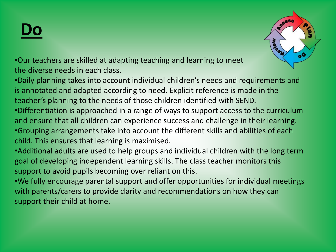## **Do**



•Our teachers are skilled at adapting teaching and learning to meet the diverse needs in each class.

•Daily planning takes into account individual children's needs and requirements and is annotated and adapted according to need. Explicit reference is made in the teacher's planning to the needs of those children identified with SEND.

•Differentiation is approached in a range of ways to support access to the curriculum and ensure that all children can experience success and challenge in their learning. •Grouping arrangements take into account the different skills and abilities of each child. This ensures that learning is maximised.

•Additional adults are used to help groups and individual children with the long term goal of developing independent learning skills. The class teacher monitors this support to avoid pupils becoming over reliant on this.

•We fully encourage parental support and offer opportunities for individual meetings with parents/carers to provide clarity and recommendations on how they can support their child at home.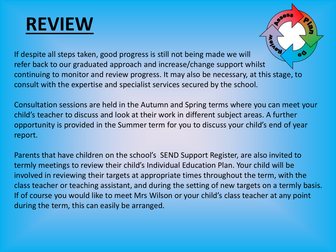## **REVIEW**



If despite all steps taken, good progress is still not being made we will refer back to our graduated approach and increase/change support whilst continuing to monitor and review progress. It may also be necessary, at this stage, to consult with the expertise and specialist services secured by the school.

Consultation sessions are held in the Autumn and Spring terms where you can meet your child's teacher to discuss and look at their work in different subject areas. A further opportunity is provided in the Summer term for you to discuss your child's end of year report.

Parents that have children on the school's SEND Support Register, are also invited to termly meetings to review their child's Individual Education Plan. Your child will be involved in reviewing their targets at appropriate times throughout the term, with the class teacher or teaching assistant, and during the setting of new targets on a termly basis. If of course you would like to meet Mrs Wilson or your child's class teacher at any point during the term, this can easily be arranged.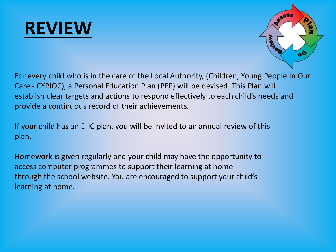## **REVIEW**



For every child who is in the care of the Local Authority, (Children, Young People In Our Care - CYPIOC), a Personal Education Plan (PEP) will be devised. This Plan will establish clear targets and actions to respond effectively to each child's needs and provide a continuous record of their achievements.

If your child has an EHC plan, you will be invited to an annual review of this plan.

Homework is given regularly and your child may have the opportunity to access computer programmes to support their learning at home through the school website. You are encouraged to support your child's learning at home.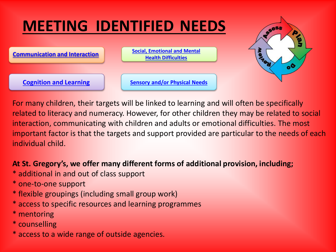## **MEETING IDENTIFIED NEEDS**





For many children, their targets will be linked to learning and will often be specifically related to literacy and numeracy. However, for other children they may be related to social interaction, communicating with children and adults or emotional difficulties. The most important factor is that the targets and support provided are particular to the needs of each individual child.

### **At St. Gregory's, we offer many different forms of additional provision, including;**

- \* additional in and out of class support
- \* one-to-one support
- \* flexible groupings (including small group work)
- \* access to specific resources and learning programmes
- \* mentoring
- \* counselling
- \* access to a wide range of outside agencies.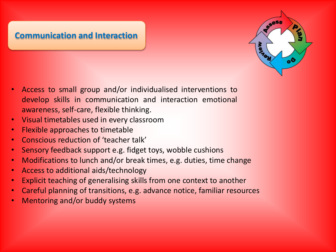### <span id="page-13-0"></span>**[Communication and Interaction](#page-24-0)**



- Access to small group and/or individualised interventions to develop skills in communication and interaction emotional awareness, self-care, flexible thinking.
- Visual timetables used in every classroom
- Flexible approaches to timetable
- Conscious reduction of 'teacher talk'
- Sensory feedback support e.g. fidget toys, wobble cushions
- Modifications to lunch and/or break times, e.g. duties, time change
- Access to additional aids/technology
- Explicit teaching of generalising skills from one context to another
- Careful planning of transitions, e.g. advance notice, familiar resources
- Mentoring and/or buddy systems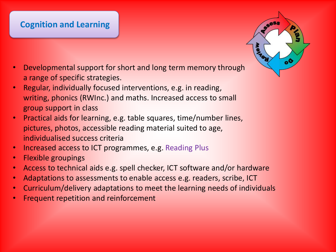### <span id="page-14-0"></span>**[Cognition](#page-24-0) and Learning**

- Developmental support for short and long term memory through a range of specific strategies.
- Regular, individually focused interventions, e.g. in reading, writing, phonics (RWInc.) and maths. Increased access to small group support in class
- Practical aids for learning, e.g. table squares, time/number lines, pictures, photos, accessible reading material suited to age, individualised success criteria
- Increased access to ICT programmes, e.g. Reading Plus
- Flexible groupings
- Access to technical aids e.g. spell checker, ICT software and/or hardware
- Adaptations to assessments to enable access e.g. readers, scribe, ICT
- Curriculum/delivery adaptations to meet the learning needs of individuals
- Frequent repetition and reinforcement

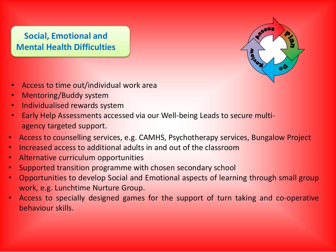### <span id="page-15-0"></span>**Social, Emotional and [Mental Health Difficulties](#page-24-0)**



- Access to time out/individual work area
- Mentoring/Buddy system
- Individualised rewards system
- Early Help Assessments accessed via our Well-being Leads to secure multiagency targeted support.
- Access to counselling services, e.g. CAMHS, Psychotherapy services, Bungalow Project
- Increased access to additional adults in and out of the classroom
- Alternative curriculum opportunities
- Supported transition programme with chosen secondary school
- Opportunities to develop Social and Emotional aspects of learning through small group work, e.g. Lunchtime Nurture Group.
- Access to specially designed games for the support of turn taking and co-operative behaviour skills.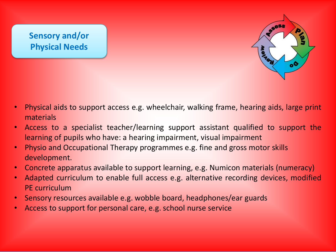### <span id="page-16-0"></span>**[Sensory and/or](#page-24-0)  Physical Needs**



- Physical aids to support access e.g. wheelchair, walking frame, hearing aids, large print materials
- Access to a specialist teacher/learning support assistant qualified to support the learning of pupils who have: a hearing impairment, visual impairment
- Physio and Occupational Therapy programmes e.g. fine and gross motor skills development.
- Concrete apparatus available to support learning, e.g. Numicon materials (numeracy)
- Adapted curriculum to enable full access e.g. alternative recording devices, modified PE curriculum
- Sensory resources available e.g. wobble board, headphones/ear guards
- Access to support for personal care, e.g. school nurse service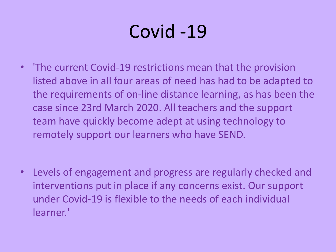# Covid -19

• 'The current Covid-19 restrictions mean that the provision listed above in all four areas of need has had to be adapted to the requirements of on-line distance learning, as has been the case since 23rd March 2020. All teachers and the support team have quickly become adept at using technology to remotely support our learners who have SEND.

• Levels of engagement and progress are regularly checked and interventions put in place if any concerns exist. Our support under Covid-19 is flexible to the needs of each individual learner.'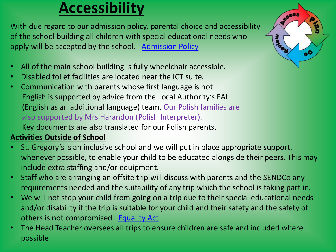### **Accessibility**

With due regard to our admission policy, parental choice and accessibility of the school building all children with special educational needs who apply will be accepted by the school. [Admission Policy](https://xge.442.myftpupload.com/wp-content/uploads/2020/03/Admission-Policy-2021-22.pdf) 

- All of the main school building is fully wheelchair accessible.
- Disabled toilet facilities are located near the ICT suite.
- Communication with parents whose first language is not English is supported by advice from the Local Authority's EAL (English as an additional language) team. Our Polish families are also supported by Mrs Harandon (Polish Interpreter). Key documents are also translated for our Polish parents.

### **Activities Outside of School**

- St. Gregory's is an inclusive school and we will put in place appropriate support, whenever possible, to enable your child to be educated alongside their peers. This may include extra staffing and/or equipment.
- Staff who are arranging an offsite trip will discuss with parents and the SENDCo any requirements needed and the suitability of any trip which the school is taking part in.
- We will not stop your child from going on a trip due to their special educational needs and/or disability if the trip is suitable for your child and their safety and the safety of others is not compromised. [Equality Act](https://www.gov.uk/equality-act-2010-guidance)
- The Head Teacher oversees all trips to ensure children are safe and included where possible.

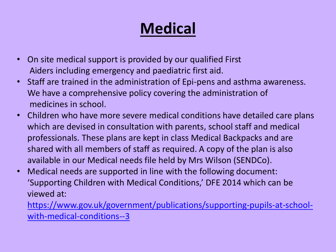## **Medical**

- On site medical support is provided by our qualified First Aiders including emergency and paediatric first aid.
- Staff are trained in the administration of Epi-pens and asthma awareness. We have a comprehensive policy covering the administration of medicines in school.
- Children who have more severe medical conditions have detailed care plans which are devised in consultation with parents, school staff and medical professionals. These plans are kept in class Medical Backpacks and are shared with all members of staff as required. A copy of the plan is also available in our Medical needs file held by Mrs Wilson (SENDCo).
- Medical needs are supported in line with the following document: 'Supporting Children with Medical Conditions,' DFE 2014 which can be viewed at:

[https://www.gov.uk/government/publications/supporting-pupils-at-school](https://www.gov.uk/government/publications/supporting-pupils-at-school-with-medical-conditions--3)[with-medical-conditions--3](https://www.gov.uk/government/publications/supporting-pupils-at-school-with-medical-conditions--3)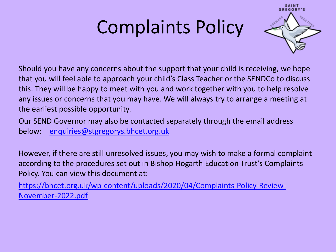# Complaints Policy



Should you have any concerns about the support that your child is receiving, we hope that you will feel able to approach your child's Class Teacher or the SENDCo to discuss this. They will be happy to meet with you and work together with you to help resolve any issues or concerns that you may have. We will always try to arrange a meeting at the earliest possible opportunity.

Our SEND Governor may also be contacted separately through the email address below: [enquiries@stgregorys.bhcet.org.uk](mailto:enquiries@stgregorys.bhcet.org.uk) 

However, if there are still unresolved issues, you may wish to make a formal complaint according to the procedures set out in Bishop Hogarth Education Trust's Complaints Policy. You can view this document at:

[https://bhcet.org.uk/wp-content/uploads/2020/04/Complaints-Policy-Review-](https://bhcet.org.uk/wp-content/uploads/2020/04/Complaints-Policy-Review-November-2022.pdf)[November-2022.pdf](https://bhcet.org.uk/wp-content/uploads/2020/04/Complaints-Policy-Review-November-2022.pdf)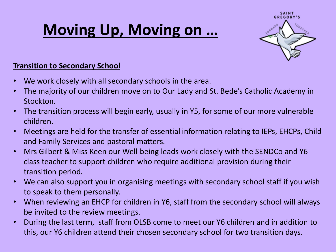## **Moving Up, Moving on …**



#### **Transition to Secondary School**

- We work closely with all secondary schools in the area.
- The majority of our children move on to Our Lady and St. Bede's Catholic Academy in Stockton.
- The transition process will begin early, usually in Y5, for some of our more vulnerable children.
- Meetings are held for the transfer of essential information relating to IEPs, EHCPs, Child and Family Services and pastoral matters.
- Mrs Gilbert & Miss Keen our Well-being leads work closely with the SENDCo and Y6 class teacher to support children who require additional provision during their transition period.
- We can also support you in organising meetings with secondary school staff if you wish to speak to them personally.
- When reviewing an EHCP for children in Y6, staff from the secondary school will always be invited to the review meetings.
- During the last term, staff from OLSB come to meet our Y6 children and in addition to this, our Y6 children attend their chosen secondary school for two transition days.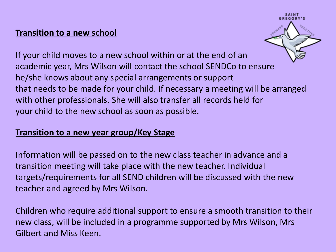#### **Transition to a new school**



If your child moves to a new school within or at the end of an academic year, Mrs Wilson will contact the school SENDCo to ensure he/she knows about any special arrangements or support that needs to be made for your child. If necessary a meeting will be arranged with other professionals. She will also transfer all records held for your child to the new school as soon as possible.

### **Transition to a new year group/Key Stage**

Information will be passed on to the new class teacher in advance and a transition meeting will take place with the new teacher. Individual targets/requirements for all SEND children will be discussed with the new teacher and agreed by Mrs Wilson.

Children who require additional support to ensure a smooth transition to their new class, will be included in a programme supported by Mrs Wilson, Mrs Gilbert and Miss Keen.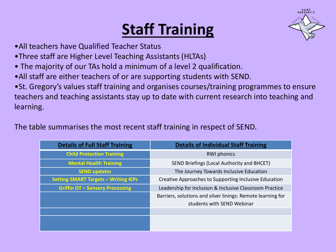### **Staff Training**



- •All teachers have Qualified Teacher Status
- •Three staff are Higher Level Teaching Assistants (HLTAs)
- The majority of our TAs hold a minimum of a level 2 qualification.
- •All staff are either teachers of or are supporting students with SEND.
- •St. Gregory's values staff training and organises courses/training programmes to ensure teachers and teaching assistants stay up to date with current research into teaching and learning.

The table summarises the most recent staff training in respect of SEND.

| <b>Details of Full Staff Training</b>       | <b>Details of Individual Staff Training</b>                 |  |  |
|---------------------------------------------|-------------------------------------------------------------|--|--|
| <b>Child Protection Training</b>            | <b>RWI</b> phonics                                          |  |  |
| <b>Mental Health Training</b>               | SEND Briefings (Local Authority and BHCET)                  |  |  |
| <b>SEND updates</b>                         | The Journey Towards Inclusive Education                     |  |  |
| <b>Setting SMART Targets - Writing IEPs</b> | Creative Approaches to Supporting Inclusive Education       |  |  |
| <b>Griffin OT - Sensory Processing</b>      | Leadership for Inclusion & Inclusive Classroom Practice     |  |  |
|                                             | Barriers, solutions and silver linings: Remote learning for |  |  |
|                                             | students with SEND Webinar                                  |  |  |
|                                             |                                                             |  |  |
|                                             |                                                             |  |  |
|                                             |                                                             |  |  |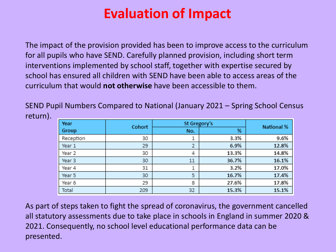### **Evaluation of Impact**

<span id="page-24-0"></span>The impact of the provision provided has been to improve access to the curriculum for all pupils who have SEND. Carefully planned provision, including short term interventions implemented by school staff, together with expertise secured by school has ensured all children with SEND have been able to access areas of the curriculum that would **not otherwise** have been accessible to them.

SEND Pupil Numbers Compared to National (January 2021 – Spring School Census return).

| Year      | Cohort | St Gregory's |       | <b>National %</b> |
|-----------|--------|--------------|-------|-------------------|
| Group     |        | No.          | %     |                   |
| Reception | 30     |              | 3.3%  | 9.6%              |
| Year 1    | 29     | 2            | 6.9%  | 12.8%             |
| Year 2    | 30     | 4            | 13.3% | 14.8%             |
| Year 3    | 30     | 11           | 36.7% | 16.1%             |
| Year 4    | 31     | 1            | 3.2%  | 17.0%             |
| Year 5    | 30     | 5            | 16.7% | 17.4%             |
| Year 6    | 29     | 8            | 27.6% | 17.8%             |
| Total     | 209    | 32           | 15.3% | 15.1%             |

As part of steps taken to fight the spread of coronavirus, the government cancelled all statutory assessments due to take place in schools in England in summer 2020 & 2021. Consequently, no school level educational performance data can be presented.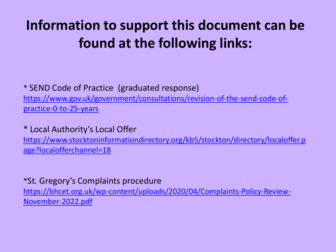### **Information to support this document can be found at the following links:**

### \* SEND Code of Practice (graduated response) [https://www.gov.uk/government/consultations/revision-of-the-send-code-of](https://www.gov.uk/government/consultations/revision-of-the-send-code-of-practice-0-to-25-years)[practice-0-to-25-years](https://www.gov.uk/government/consultations/revision-of-the-send-code-of-practice-0-to-25-years)

### \* Local Authority's Local Offer

[https://www.stocktoninformationdirectory.org/kb5/stockton/directory/localoffer.p](https://www.stocktoninformationdirectory.org/kb5/stockton/directory/localoffer.page?localofferchannel=18) [age?localofferchannel=18](https://www.stocktoninformationdirectory.org/kb5/stockton/directory/localoffer.page?localofferchannel=18)

### \*St. Gregory's Complaints procedure

[https://bhcet.org.uk/wp-content/uploads/2020/04/Complaints-Policy-Review-](https://bhcet.org.uk/wp-content/uploads/2020/04/Complaints-Policy-Review-November-2022.pdf)[November-2022.pdf](https://bhcet.org.uk/wp-content/uploads/2020/04/Complaints-Policy-Review-November-2022.pdf)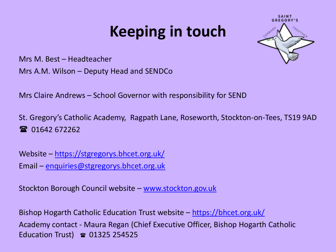### **Keeping in touch**



Mrs M. Best – Headteacher

Mrs A.M. Wilson – Deputy Head and SENDCo

Mrs Claire Andrews – School Governor with responsibility for SEND

St. Gregory's Catholic Academy, Ragpath Lane, Roseworth, Stockton-on-Tees, TS19 9AD 2 01642 672262

Website – <https://stgregorys.bhcet.org.uk/> Email – [enquiries@stgregorys.bhcet.org.uk](mailto:enquiries@stgregorys.bhcet.org.uk)

Stockton Borough Council website – [www.stockton.gov.uk](http://www.stockton.gov.uk/) 

Bishop Hogarth Catholic Education Trust website – <https://bhcet.org.uk/> Academy contact - Maura Regan (Chief Executive Officer, Bishop Hogarth Catholic Education Trust)  $\approx 01325$  254525